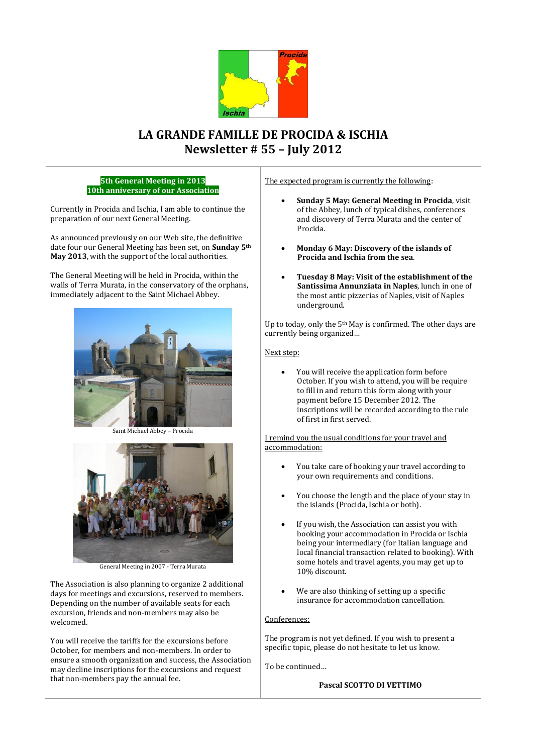

# **LA GRANDE FAMILLE DE PROCIDA & ISCHIA Newsletter # 55 – July 2012**

**5th General Meeting in 2013 10th anniversary of our Association**

Currently in Procida and Ischia, I am able to continue the preparation of our next General Meeting.

As announced previously on our Web site, the definitive date four our General Meeting has been set, on **Sunday 5th May 2013**, with the support of the local authorities.

The General Meeting will be held in Procida, within the walls of Terra Murata, in the conservatory of the orphans, immediately adjacent to the Saint Michael Abbey.



Saint Michael Abbey – Procida



General Meeting in 2007 - Terra Murata

The Association is also planning to organize 2 additional days for meetings and excursions, reserved to members. Depending on the number of available seats for each excursion, friends and non-members may also be welcomed.

You will receive the tariffs for the excursions before October, for members and non-members. In order to ensure a smooth organization and success, the Association may decline inscriptions for the excursions and request that non-members pay the annual fee.

The expected program is currently the following:

- **Sunday 5 May: General Meeting in Procida**, visit of the Abbey, lunch of typical dishes, conferences and discovery of Terra Murata and the center of Procida.
- **Monday 6 May: Discovery of the islands of Procida and Ischia from the sea**.
- **Tuesday 8 May: Visit of the establishment of the Santissima Annunziata in Naples**, lunch in one of the most antic pizzerias of Naples, visit of Naples underground.

Up to today, only the 5th May is confirmed. The other days are currently being organized…

### Next step:

 You will receive the application form before October. If you wish to attend, you will be require to fill in and return this form along with your payment before 15 December 2012. The inscriptions will be recorded according to the rule of first in first served.

I remind you the usual conditions for your travel and accommodation:

- You take care of booking your travel according to your own requirements and conditions.
- You choose the length and the place of your stay in the islands (Procida, Ischia or both).
- If you wish, the Association can assist you with booking your accommodation in Procida or Ischia being your intermediary (for Italian language and local financial transaction related to booking). With some hotels and travel agents, you may get up to 10% discount.
- We are also thinking of setting up a specific insurance for accommodation cancellation.

## Conferences:

The program is not yet defined. If you wish to present a specific topic, please do not hesitate to let us know.

To be continued…

### **Pascal SCOTTO DI VETTIMO**